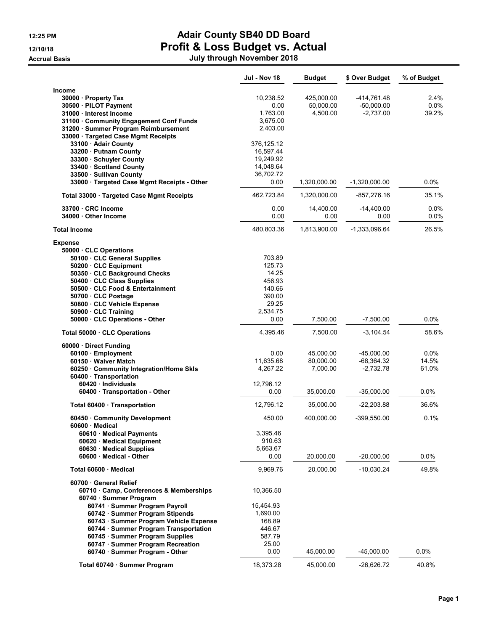# 12:25 PM **Adair County SB40 DD Board** 12/10/18 **Profit & Loss Budget vs. Actual**

Accrual Basis July through November 2018

|                                              | Jul - Nov 18 | <b>Budget</b> | \$ Over Budget  | % of Budget |
|----------------------------------------------|--------------|---------------|-----------------|-------------|
| Income                                       |              |               |                 |             |
| 30000 Property Tax                           | 10,238.52    | 425,000.00    | -414,761.48     | 2.4%        |
| 30500 · PILOT Payment                        | 0.00         | 50,000.00     | $-50,000.00$    | 0.0%        |
| 31000 · Interest Income                      | 1,763.00     | 4,500.00      | $-2,737.00$     | 39.2%       |
| 31100 Community Engagement Conf Funds        | 3,675.00     |               |                 |             |
| 31200 · Summer Program Reimbursement         | 2,403.00     |               |                 |             |
| 33000 · Targeted Case Mgmt Receipts          |              |               |                 |             |
| 33100 · Adair County                         | 376, 125.12  |               |                 |             |
| 33200 · Putnam County                        | 16,597.44    |               |                 |             |
| 33300 · Schuyler County                      | 19,249.92    |               |                 |             |
| 33400 Scotland County                        | 14,048.64    |               |                 |             |
| 33500 · Sullivan County                      | 36,702.72    |               |                 |             |
| 33000 · Targeted Case Mgmt Receipts - Other  | 0.00         | 1,320,000.00  | $-1,320,000.00$ | 0.0%        |
|                                              |              |               |                 |             |
| Total 33000 · Targeted Case Mgmt Receipts    | 462,723.84   | 1,320,000.00  | -857,276.16     | 35.1%       |
| 33700 CRC Income                             | 0.00         | 14,400.00     | $-14,400.00$    | 0.0%        |
| 34000 Other Income                           | 0.00         | 0.00          | 0.00            | $0.0\%$     |
|                                              |              |               |                 |             |
| <b>Total Income</b>                          | 480,803.36   | 1,813,900.00  | -1,333,096.64   | 26.5%       |
| <b>Expense</b>                               |              |               |                 |             |
| 50000 CLC Operations                         |              |               |                 |             |
| 50100 · CLC General Supplies                 | 703.89       |               |                 |             |
| 50200 CLC Equipment                          | 125.73       |               |                 |             |
| 50350 CLC Background Checks                  | 14.25        |               |                 |             |
| 50400 CLC Class Supplies                     | 456.93       |               |                 |             |
| 50500 · CLC Food & Entertainment             | 140.66       |               |                 |             |
| 50700 · CLC Postage                          | 390.00       |               |                 |             |
| 50800 · CLC Vehicle Expense                  | 29.25        |               |                 |             |
| 50900 CLC Training                           | 2,534.75     |               |                 |             |
| 50000 · CLC Operations - Other               | 0.00         | 7,500.00      | $-7,500.00$     | 0.0%        |
| Total 50000 · CLC Operations                 | 4,395.46     | 7,500.00      | $-3,104.54$     | 58.6%       |
| 60000 Direct Funding                         |              |               |                 |             |
| 60100 · Employment                           | 0.00         | 45,000.00     | $-45,000.00$    | 0.0%        |
| 60150 Waiver Match                           | 11,635.68    | 80,000.00     | $-68,364.32$    | 14.5%       |
| 60250 · Community Integration/Home Skls      | 4,267.22     | 7,000.00      | $-2,732.78$     | 61.0%       |
| 60400 · Transportation                       |              |               |                 |             |
| 60420 · Individuals                          | 12,796.12    |               |                 |             |
| 60400 Transportation - Other                 | 0.00         | 35,000.00     | $-35,000.00$    | 0.0%        |
| Total 60400 · Transportation                 | 12,796.12    | 35,000.00     | $-22,203.88$    | 36.6%       |
|                                              |              | 400.000.00    |                 |             |
| 60450 Community Development<br>60600 Medical | 450.00       |               | -399,550.00     | 0.1%        |
| 60610 · Medical Payments                     | 3,395.46     |               |                 |             |
| 60620 · Medical Equipment                    | 910.63       |               |                 |             |
| 60630 Medical Supplies                       | 5,663.67     |               |                 |             |
| 60600 Medical - Other                        | 0.00         | 20,000.00     | $-20,000.00$    | $0.0\%$     |
| Total 60600 · Medical                        | 9,969.76     | 20,000.00     | $-10,030.24$    | 49.8%       |
| 60700 General Relief                         |              |               |                 |             |
| 60710 Camp, Conferences & Memberships        | 10,366.50    |               |                 |             |
| 60740 · Summer Program                       |              |               |                 |             |
| 60741 · Summer Program Payroll               |              |               |                 |             |
|                                              | 15,454.93    |               |                 |             |
| 60742 · Summer Program Stipends              | 1,690.00     |               |                 |             |
| 60743 · Summer Program Vehicle Expense       | 168.89       |               |                 |             |
| 60744 · Summer Program Transportation        | 446.67       |               |                 |             |
| 60745 · Summer Program Supplies              | 587.79       |               |                 |             |
| 60747 · Summer Program Recreation            | 25.00        |               |                 |             |
| 60740 · Summer Program - Other               | 0.00         | 45,000.00     | -45,000.00      | 0.0%        |
| Total 60740 · Summer Program                 | 18,373.28    | 45,000.00     | -26,626.72      | 40.8%       |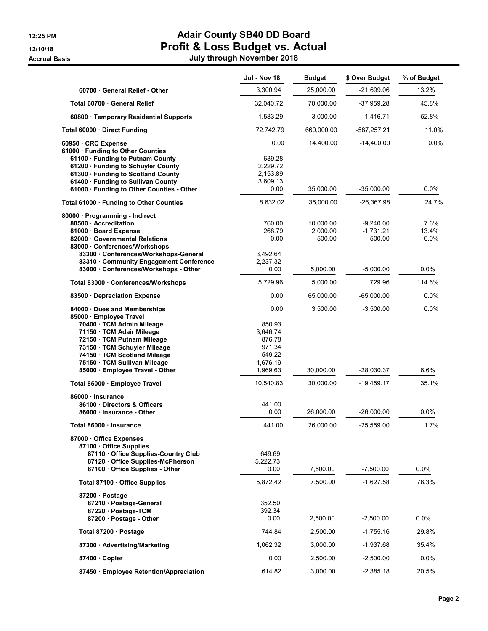## 12:25 PM **Adair County SB40 DD Board** 12/10/18 **Profit & Loss Budget vs. Actual** Accrual Basis July through November 2018

|                                                                                                                                                                                                                                               | Jul - Nov 18                                                         | <b>Budget</b>                   | \$ Over Budget                        | % of Budget           |
|-----------------------------------------------------------------------------------------------------------------------------------------------------------------------------------------------------------------------------------------------|----------------------------------------------------------------------|---------------------------------|---------------------------------------|-----------------------|
| 60700 General Relief - Other                                                                                                                                                                                                                  | 3,300.94                                                             | 25,000.00                       | -21,699.06                            | 13.2%                 |
| Total 60700 · General Relief                                                                                                                                                                                                                  | 32,040.72                                                            | 70,000.00                       | -37,959.28                            | 45.8%                 |
| 60800 · Temporary Residential Supports                                                                                                                                                                                                        | 1,583.29                                                             | 3,000.00                        | $-1,416.71$                           | 52.8%                 |
| Total 60000 · Direct Funding                                                                                                                                                                                                                  | 72,742.79                                                            | 660,000.00                      | $-587,257.21$                         | 11.0%                 |
| 60950 CRC Expense<br>61000 · Funding to Other Counties<br>61100 · Funding to Putnam County                                                                                                                                                    | 0.00<br>639.28                                                       | 14,400.00                       | $-14,400.00$                          | 0.0%                  |
| 61200 · Funding to Schuyler County<br>61300 · Funding to Scotland County<br>61400 · Funding to Sullivan County                                                                                                                                | 2,229.72<br>2,153.89<br>3,609.13                                     |                                 |                                       |                       |
| 61000 · Funding to Other Counties - Other                                                                                                                                                                                                     | 0.00                                                                 | 35,000.00                       | $-35,000.00$                          | $0.0\%$               |
| Total 61000 · Funding to Other Counties                                                                                                                                                                                                       | 8,632.02                                                             | 35,000.00                       | -26,367.98                            | 24.7%                 |
| 80000 Programming - Indirect<br>80500 Accreditation<br>81000 · Board Expense<br>82000 Governmental Relations<br>83000 Conferences/Workshops<br>83300 Conferences/Workshops-General                                                            | 760.00<br>268.79<br>0.00<br>3,492.64                                 | 10,000.00<br>2,000.00<br>500.00 | $-9,240.00$<br>$-1,731.21$<br>-500.00 | 7.6%<br>13.4%<br>0.0% |
| 83310 Community Engagement Conference<br>83000 · Conferences/Workshops - Other                                                                                                                                                                | 2,237.32<br>0.00                                                     | 5,000.00                        | $-5,000.00$                           | $0.0\%$               |
| Total 83000 · Conferences/Workshops                                                                                                                                                                                                           | 5,729.96                                                             | 5,000.00                        | 729.96                                | 114.6%                |
| 83500 · Depreciation Expense                                                                                                                                                                                                                  | 0.00                                                                 | 65,000.00                       | $-65,000.00$                          | 0.0%                  |
| 84000 Dues and Memberships<br>85000 · Employee Travel<br>70400 · TCM Admin Mileage<br>71150 · TCM Adair Mileage<br>72150 · TCM Putnam Mileage<br>73150 · TCM Schuyler Mileage<br>74150 · TCM Scotland Mileage<br>75150 · TCM Sullivan Mileage | 0.00<br>850.93<br>3,646.74<br>876.78<br>971.34<br>549.22<br>1,676.19 | 3,500.00                        | $-3,500.00$                           | $0.0\%$               |
| 85000 · Employee Travel - Other                                                                                                                                                                                                               | 1,969.63                                                             | 30,000.00                       | $-28,030.37$                          | 6.6%                  |
| Total 85000 · Employee Travel                                                                                                                                                                                                                 | 10,540.83                                                            | 30,000.00                       | -19,459.17                            | 35.1%                 |
| 86000 Insurance<br>86100 Directors & Officers<br>86000 · Insurance - Other                                                                                                                                                                    | 441.00<br>0.00                                                       | 26,000.00                       | -26,000.00                            | $0.0\%$               |
| Total 86000 · Insurance                                                                                                                                                                                                                       | 441.00                                                               | 26.000.00                       | -25.559.00                            | 1.7%                  |
| 87000 Office Expenses<br>87100 Office Supplies<br>87110 Office Supplies-Country Club<br>87120 Office Supplies-McPherson<br>87100 Office Supplies - Other                                                                                      | 649.69<br>5,222.73<br>0.00                                           | 7,500.00                        | $-7,500.00$                           | $0.0\%$               |
| Total 87100 · Office Supplies                                                                                                                                                                                                                 | 5.872.42                                                             | 7,500.00                        | $-1,627.58$                           | 78.3%                 |
| 87200 · Postage<br>87210 · Postage-General<br>87220 · Postage-TCM<br>87200 · Postage - Other                                                                                                                                                  | 352.50<br>392.34<br>0.00                                             | 2,500.00                        | $-2,500.00$                           | $0.0\%$               |
| Total 87200 · Postage                                                                                                                                                                                                                         | 744.84                                                               | 2,500.00                        | $-1,755.16$                           | 29.8%                 |
| 87300 · Advertising/Marketing                                                                                                                                                                                                                 | 1,062.32                                                             | 3,000.00                        | $-1,937.68$                           | 35.4%                 |
| 87400 Copier                                                                                                                                                                                                                                  | 0.00                                                                 | 2,500.00                        | $-2,500.00$                           | 0.0%                  |
| 87450 · Employee Retention/Appreciation                                                                                                                                                                                                       | 614.82                                                               | 3,000.00                        | $-2,385.18$                           | 20.5%                 |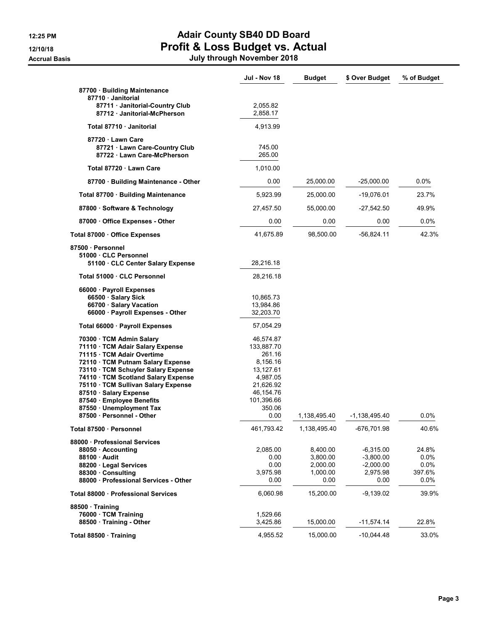# 12:25 PM **Adair County SB40 DD Board** 12/10/18 **Profit & Loss Budget vs. Actual**

| July through November 2018 |  |
|----------------------------|--|

|                                                                                                                                                                                                                                                                                                                                                                  | Jul - Nov 18                                                                                                                     | <b>Budget</b>                                        | \$ Over Budget                                                | % of Budget                             |
|------------------------------------------------------------------------------------------------------------------------------------------------------------------------------------------------------------------------------------------------------------------------------------------------------------------------------------------------------------------|----------------------------------------------------------------------------------------------------------------------------------|------------------------------------------------------|---------------------------------------------------------------|-----------------------------------------|
| 87700 · Building Maintenance<br>87710 · Janitorial                                                                                                                                                                                                                                                                                                               |                                                                                                                                  |                                                      |                                                               |                                         |
| 87711 · Janitorial-Country Club<br>87712 · Janitorial-McPherson                                                                                                                                                                                                                                                                                                  | 2,055.82<br>2,858.17                                                                                                             |                                                      |                                                               |                                         |
| Total 87710 · Janitorial                                                                                                                                                                                                                                                                                                                                         | 4,913.99                                                                                                                         |                                                      |                                                               |                                         |
| 87720 Lawn Care<br>87721 · Lawn Care-Country Club<br>87722 Lawn Care-McPherson                                                                                                                                                                                                                                                                                   | 745.00<br>265.00                                                                                                                 |                                                      |                                                               |                                         |
| Total 87720 Lawn Care                                                                                                                                                                                                                                                                                                                                            | 1,010.00                                                                                                                         |                                                      |                                                               |                                         |
| 87700 · Building Maintenance - Other                                                                                                                                                                                                                                                                                                                             | 0.00                                                                                                                             | 25,000.00                                            | $-25,000.00$                                                  | $0.0\%$                                 |
| Total 87700 · Building Maintenance                                                                                                                                                                                                                                                                                                                               | 5,923.99                                                                                                                         | 25,000.00                                            | $-19,076.01$                                                  | 23.7%                                   |
| 87800 · Software & Technology                                                                                                                                                                                                                                                                                                                                    | 27,457.50                                                                                                                        | 55,000.00                                            | $-27,542.50$                                                  | 49.9%                                   |
| 87000 Office Expenses - Other                                                                                                                                                                                                                                                                                                                                    | 0.00                                                                                                                             | 0.00                                                 | 0.00                                                          | $0.0\%$                                 |
| Total 87000 Office Expenses                                                                                                                                                                                                                                                                                                                                      | 41,675.89                                                                                                                        | 98,500.00                                            | $-56,824.11$                                                  | 42.3%                                   |
| 87500 · Personnel<br>51000 · CLC Personnel<br>51100 CLC Center Salary Expense                                                                                                                                                                                                                                                                                    | 28,216.18                                                                                                                        |                                                      |                                                               |                                         |
| Total 51000 · CLC Personnel                                                                                                                                                                                                                                                                                                                                      | 28,216.18                                                                                                                        |                                                      |                                                               |                                         |
| 66000 · Payroll Expenses<br>66500 · Salary Sick<br>66700 · Salary Vacation<br>66000 · Payroll Expenses - Other                                                                                                                                                                                                                                                   | 10,865.73<br>13,984.86<br>32,203.70                                                                                              |                                                      |                                                               |                                         |
| Total 66000 · Payroll Expenses                                                                                                                                                                                                                                                                                                                                   | 57,054.29                                                                                                                        |                                                      |                                                               |                                         |
| 70300 · TCM Admin Salary<br>71110 · TCM Adair Salary Expense<br>71115 TCM Adair Overtime<br>72110 TCM Putnam Salary Expense<br>73110 · TCM Schuyler Salary Expense<br>74110 · TCM Scotland Salary Expense<br>75110 · TCM Sullivan Salary Expense<br>87510 · Salary Expense<br>87540 · Employee Benefits<br>87550 · Unemployment Tax<br>87500 · Personnel - Other | 46,574.87<br>133,887.70<br>261.16<br>8,156.16<br>13,127.61<br>4,987.05<br>21,626.92<br>46,154.76<br>101,396.66<br>350.06<br>0.00 | 1,138,495.40                                         | $-1,138,495.40$                                               | 0.0%                                    |
| Total 87500 · Personnel                                                                                                                                                                                                                                                                                                                                          | 461,793.42                                                                                                                       | 1,138,495.40                                         | -676,701.98                                                   | 40.6%                                   |
| 88000 Professional Services<br>88050 · Accounting<br>88100 Audit<br>88200 Legal Services<br>88300 Consulting<br>88000 · Professional Services - Other                                                                                                                                                                                                            | 2,085.00<br>0.00<br>0.00<br>3,975.98<br>0.00                                                                                     | 8,400.00<br>3,800.00<br>2,000.00<br>1,000.00<br>0.00 | $-6,315.00$<br>$-3,800.00$<br>$-2,000.00$<br>2,975.98<br>0.00 | 24.8%<br>0.0%<br>0.0%<br>397.6%<br>0.0% |
| Total 88000 · Professional Services                                                                                                                                                                                                                                                                                                                              | 6,060.98                                                                                                                         | 15,200.00                                            | $-9,139.02$                                                   | 39.9%                                   |
| 88500 Training<br>76000 · TCM Training<br>88500 · Training - Other                                                                                                                                                                                                                                                                                               | 1,529.66<br>3,425.86                                                                                                             | 15,000.00                                            | $-11,574.14$                                                  | 22.8%                                   |
| Total 88500 · Training                                                                                                                                                                                                                                                                                                                                           | 4,955.52                                                                                                                         | 15,000.00                                            | $-10,044.48$                                                  | 33.0%                                   |